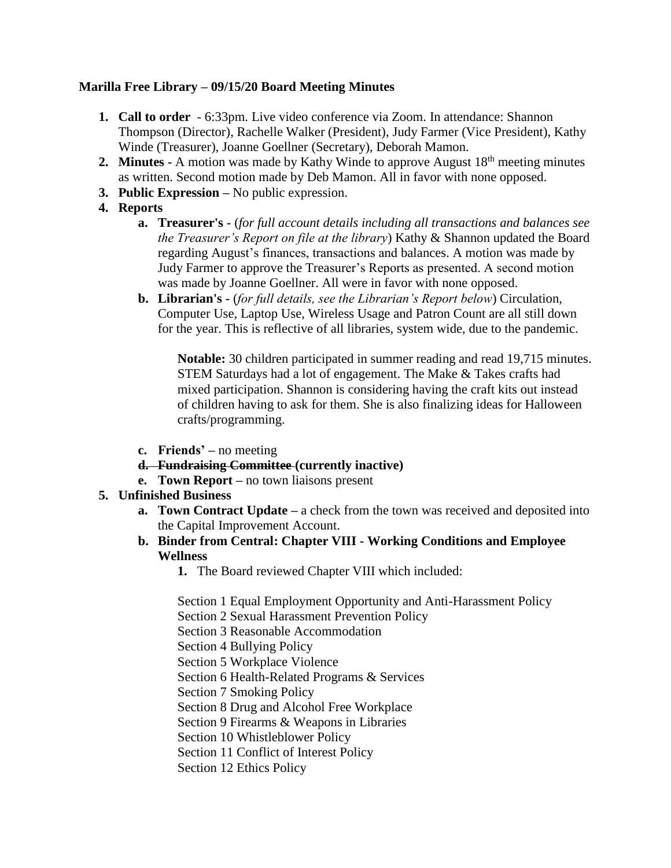# **Marilla Free Library – 09/15/20 Board Meeting Minutes**

- **1. Call to order** 6:33pm. Live video conference via Zoom. In attendance: Shannon Thompson (Director), Rachelle Walker (President), Judy Farmer (Vice President), Kathy Winde (Treasurer), Joanne Goellner (Secretary), Deborah Mamon.
- **2. Minutes -** A motion was made by Kathy Winde to approve August 18<sup>th</sup> meeting minutes as written. Second motion made by Deb Mamon. All in favor with none opposed.
- **3. Public Expression –** No public expression.
- **4. Reports**
	- **a. Treasurer's -** (*for full account details including all transactions and balances see the Treasurer's Report on file at the library*) Kathy & Shannon updated the Board regarding August's finances, transactions and balances. A motion was made by Judy Farmer to approve the Treasurer's Reports as presented. A second motion was made by Joanne Goellner. All were in favor with none opposed.
	- **b. Librarian's -** (*for full details, see the Librarian's Report below*) Circulation, Computer Use, Laptop Use, Wireless Usage and Patron Count are all still down for the year. This is reflective of all libraries, system wide, due to the pandemic.

**Notable:** 30 children participated in summer reading and read 19,715 minutes. STEM Saturdays had a lot of engagement. The Make & Takes crafts had mixed participation. Shannon is considering having the craft kits out instead of children having to ask for them. She is also finalizing ideas for Halloween crafts/programming.

- **c. Friends' –** no meeting
- **d. Fundraising Committee (currently inactive)**
- **e. Town Report –** no town liaisons present
- **5. Unfinished Business** 
	- **a. Town Contract Update –** a check from the town was received and deposited into the Capital Improvement Account.
	- **b. Binder from Central: Chapter VIII - Working Conditions and Employee Wellness**
		- **1.** The Board reviewed Chapter VIII which included:

Section 1 Equal Employment Opportunity and Anti-Harassment Policy

Section 2 Sexual Harassment Prevention Policy

Section 3 Reasonable Accommodation

Section 4 Bullying Policy

- Section 5 Workplace Violence
- Section 6 Health-Related Programs & Services

Section 7 Smoking Policy

Section 8 Drug and Alcohol Free Workplace

Section 9 Firearms & Weapons in Libraries

Section 10 Whistleblower Policy

Section 11 Conflict of Interest Policy

Section 12 Ethics Policy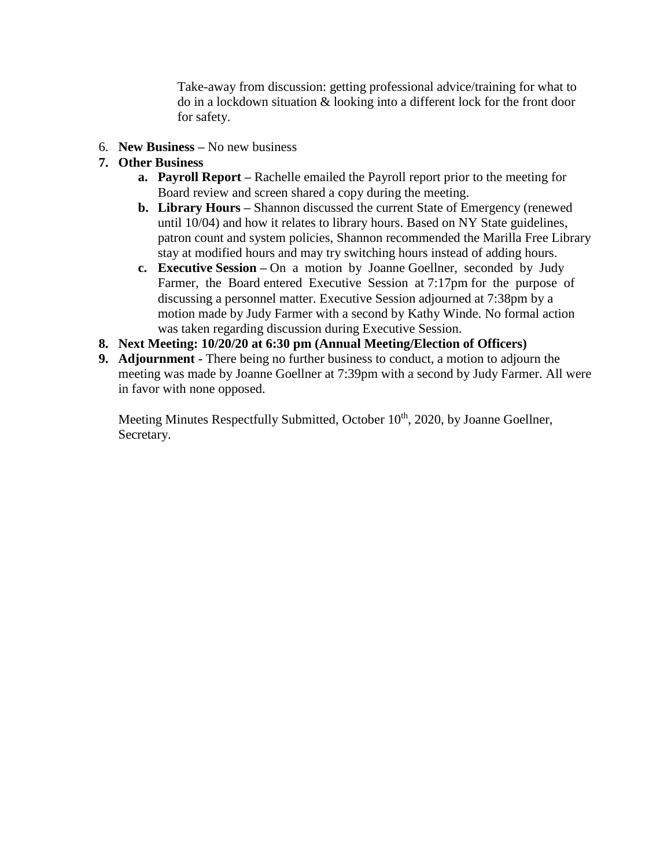Take-away from discussion: getting professional advice/training for what to do in a lockdown situation & looking into a different lock for the front door for safety.

- 6. **New Business –** No new business
- **7. Other Business** 
	- **a. Payroll Report –** Rachelle emailed the Payroll report prior to the meeting for Board review and screen shared a copy during the meeting.
	- **b. Library Hours –** Shannon discussed the current State of Emergency (renewed until 10/04) and how it relates to library hours. Based on NY State guidelines, patron count and system policies, Shannon recommended the Marilla Free Library stay at modified hours and may try switching hours instead of adding hours.
	- **c. Executive Session –** On a motion by Joanne Goellner, seconded by Judy Farmer, the Board entered Executive Session at 7:17pm for the purpose of discussing a personnel matter. Executive Session adjourned at 7:38pm by a motion made by Judy Farmer with a second by Kathy Winde. No formal action was taken regarding discussion during Executive Session.
- **8. Next Meeting: 10/20/20 at 6:30 pm (Annual Meeting/Election of Officers)**
- **9. Adjournment -** There being no further business to conduct, a motion to adjourn the meeting was made by Joanne Goellner at 7:39pm with a second by Judy Farmer. All were in favor with none opposed.

Meeting Minutes Respectfully Submitted, October 10<sup>th</sup>, 2020, by Joanne Goellner, Secretary.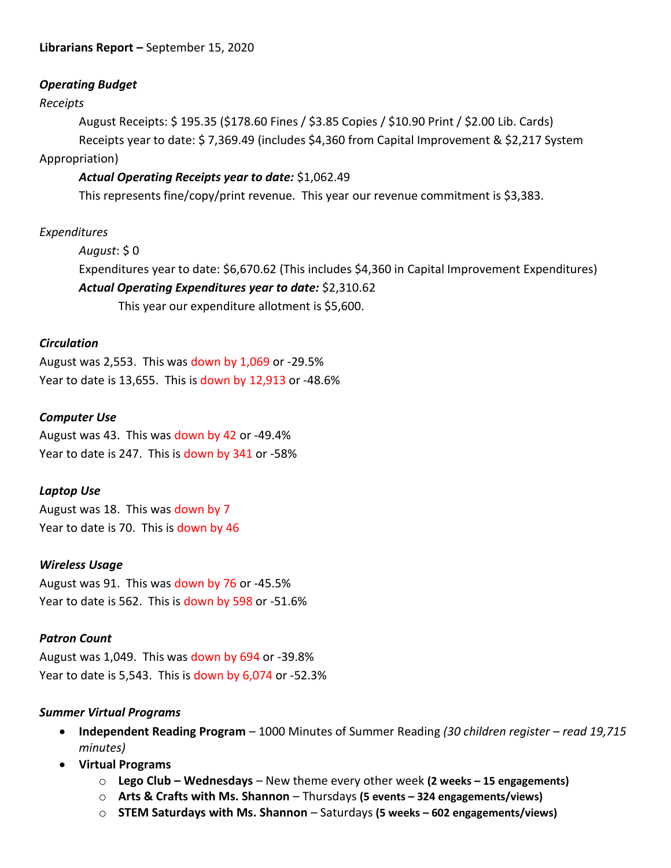# *Operating Budget*

### *Receipts*

August Receipts: \$ 195.35 (\$178.60 Fines / \$3.85 Copies / \$10.90 Print / \$2.00 Lib. Cards) Receipts year to date: \$ 7,369.49 (includes \$4,360 from Capital Improvement & \$2,217 System Appropriation)

# *Actual Operating Receipts year to date:* \$1,062.49

This represents fine/copy/print revenue. This year our revenue commitment is \$3,383.

### *Expenditures*

*August*: \$ 0

Expenditures year to date: \$6,670.62 (This includes \$4,360 in Capital Improvement Expenditures) *Actual Operating Expenditures year to date:* \$2,310.62

This year our expenditure allotment is \$5,600.

### *Circulation*

August was 2,553. This was down by 1,069 or -29.5% Year to date is 13,655. This is down by 12,913 or -48.6%

#### *Computer Use*

August was 43. This was down by 42 or -49.4% Year to date is 247. This is down by 341 or -58%

# *Laptop Use*

August was 18. This was down by 7 Year to date is 70. This is down by 46

# *Wireless Usage*

August was 91. This was down by 76 or -45.5% Year to date is 562. This is down by 598 or -51.6%

# *Patron Count*

August was 1,049. This was down by 694 or -39.8% Year to date is 5,543. This is down by 6,074 or -52.3%

#### *Summer Virtual Programs*

- **Independent Reading Program**  1000 Minutes of Summer Reading *(30 children register – read 19,715 minutes)*
- **Virtual Programs**
	- o **Lego Club – Wednesdays**  New theme every other week **(2 weeks – 15 engagements)**
	- o **Arts & Crafts with Ms. Shannon**  Thursdays **(5 events – 324 engagements/views)**
	- o **STEM Saturdays with Ms. Shannon**  Saturdays **(5 weeks – 602 engagements/views)**